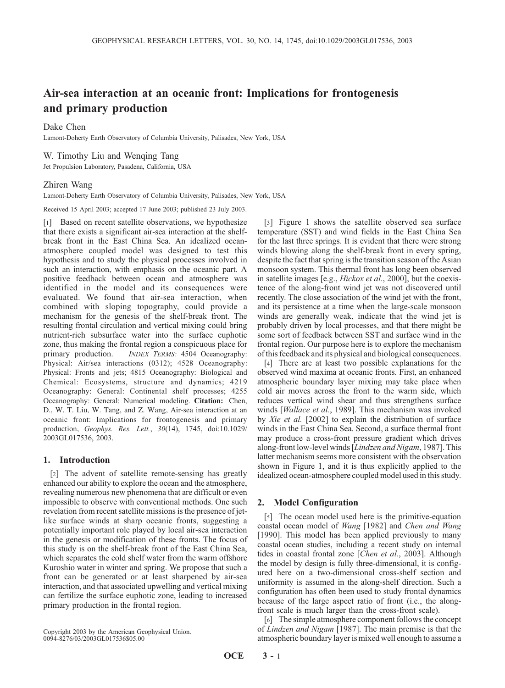# Air-sea interaction at an oceanic front: Implications for frontogenesis and primary production

## Dake Chen

Lamont-Doherty Earth Observatory of Columbia University, Palisades, New York, USA

#### W. Timothy Liu and Wenqing Tang

Jet Propulsion Laboratory, Pasadena, California, USA

#### Zhiren Wang

Lamont-Doherty Earth Observatory of Columbia University, Palisades, New York, USA

Received 15 April 2003; accepted 17 June 2003; published 23 July 2003.

[1] Based on recent satellite observations, we hypothesize that there exists a significant air-sea interaction at the shelfbreak front in the East China Sea. An idealized oceanatmosphere coupled model was designed to test this hypothesis and to study the physical processes involved in such an interaction, with emphasis on the oceanic part. A positive feedback between ocean and atmosphere was identified in the model and its consequences were evaluated. We found that air-sea interaction, when combined with sloping topography, could provide a mechanism for the genesis of the shelf-break front. The resulting frontal circulation and vertical mixing could bring nutrient-rich subsurface water into the surface euphotic zone, thus making the frontal region a conspicuous place for primary production. *INDEX TERMS:* 4504 Oceanography: Physical: Air/sea interactions (0312); 4528 Oceanography: Physical: Fronts and jets; 4815 Oceanography: Biological and Chemical: Ecosystems, structure and dynamics; 4219 Oceanography: General: Continental shelf processes; 4255 Oceanography: General: Numerical modeling. Citation: Chen, D., W. T. Liu, W. Tang, and Z. Wang, Air-sea interaction at an oceanic front: Implications for frontogenesis and primary production, Geophys. Res. Lett., 30(14), 1745, doi:10.1029/ 2003GL017536, 2003.

#### 1. Introduction

[2] The advent of satellite remote-sensing has greatly enhanced our ability to explore the ocean and the atmosphere, revealing numerous new phenomena that are difficult or even impossible to observe with conventional methods. One such revelation from recent satellite missions is the presence of jetlike surface winds at sharp oceanic fronts, suggesting a potentially important role played by local air-sea interaction in the genesis or modification of these fronts. The focus of this study is on the shelf-break front of the East China Sea, which separates the cold shelf water from the warm offshore Kuroshio water in winter and spring. We propose that such a front can be generated or at least sharpened by air-sea interaction, and that associated upwelling and vertical mixing can fertilize the surface euphotic zone, leading to increased primary production in the frontal region.

Copyright 2003 by the American Geophysical Union. 0094-8276/03/2003GL017536\$05.00

[3] Figure 1 shows the satellite observed sea surface temperature (SST) and wind fields in the East China Sea for the last three springs. It is evident that there were strong winds blowing along the shelf-break front in every spring, despite the fact that spring is the transition season of the Asian monsoon system. This thermal front has long been observed in satellite images [e.g., Hickox et al., 2000], but the coexistence of the along-front wind jet was not discovered until recently. The close association of the wind jet with the front, and its persistence at a time when the large-scale monsoon winds are generally weak, indicate that the wind jet is probably driven by local processes, and that there might be some sort of feedback between SST and surface wind in the frontal region. Our purpose here is to explore the mechanism of this feedback and its physical and biological consequences.

[4] There are at least two possible explanations for the observed wind maxima at oceanic fronts. First, an enhanced atmospheric boundary layer mixing may take place when cold air moves across the front to the warm side, which reduces vertical wind shear and thus strengthens surface winds [Wallace et al., 1989]. This mechanism was invoked by Xie et al. [2002] to explain the distribution of surface winds in the East China Sea. Second, a surface thermal front may produce a cross-front pressure gradient which drives along-front low-level winds [Lindzen and Nigam, 1987]. This latter mechanism seems more consistent with the observation shown in Figure 1, and it is thus explicitly applied to the idealized ocean-atmosphere coupled model used in this study.

## 2. Model Configuration

[5] The ocean model used here is the primitive-equation coastal ocean model of Wang [1982] and Chen and Wang [1990]. This model has been applied previously to many coastal ocean studies, including a recent study on internal tides in coastal frontal zone [Chen et al., 2003]. Although the model by design is fully three-dimensional, it is configured here on a two-dimensional cross-shelf section and uniformity is assumed in the along-shelf direction. Such a configuration has often been used to study frontal dynamics because of the large aspect ratio of front (i.e., the alongfront scale is much larger than the cross-front scale).

[6] The simple atmosphere component follows the concept of Lindzen and Nigam [1987]. The main premise is that the atmospheric boundary layer is mixed well enough to assume a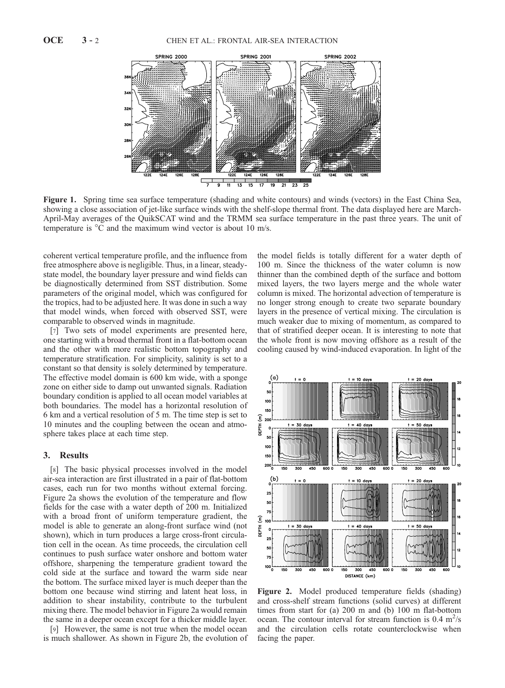

Figure 1. Spring time sea surface temperature (shading and white contours) and winds (vectors) in the East China Sea, showing a close association of jet-like surface winds with the shelf-slope thermal front. The data displayed here are March-April-May averages of the QuikSCAT wind and the TRMM sea surface temperature in the past three years. The unit of temperature is  $\mathrm{^{\circ}C}$  and the maximum wind vector is about 10 m/s.

coherent vertical temperature profile, and the influence from free atmosphere above is negligible. Thus, in a linear, steadystate model, the boundary layer pressure and wind fields can be diagnostically determined from SST distribution. Some parameters of the original model, which was configured for the tropics, had to be adjusted here. It was done in such a way that model winds, when forced with observed SST, were comparable to observed winds in magnitude.

[7] Two sets of model experiments are presented here, one starting with a broad thermal front in a flat-bottom ocean and the other with more realistic bottom topography and temperature stratification. For simplicity, salinity is set to a constant so that density is solely determined by temperature. The effective model domain is 600 km wide, with a sponge zone on either side to damp out unwanted signals. Radiation boundary condition is applied to all ocean model variables at both boundaries. The model has a horizontal resolution of 6 km and a vertical resolution of 5 m. The time step is set to 10 minutes and the coupling between the ocean and atmosphere takes place at each time step.

### 3. Results

[8] The basic physical processes involved in the model air-sea interaction are first illustrated in a pair of flat-bottom cases, each run for two months without external forcing. Figure 2a shows the evolution of the temperature and flow fields for the case with a water depth of 200 m. Initialized with a broad front of uniform temperature gradient, the model is able to generate an along-front surface wind (not shown), which in turn produces a large cross-front circulation cell in the ocean. As time proceeds, the circulation cell continues to push surface water onshore and bottom water offshore, sharpening the temperature gradient toward the cold side at the surface and toward the warm side near the bottom. The surface mixed layer is much deeper than the bottom one because wind stirring and latent heat loss, in addition to shear instability, contribute to the turbulent mixing there. The model behavior in Figure 2a would remain the same in a deeper ocean except for a thicker middle layer.

[9] However, the same is not true when the model ocean is much shallower. As shown in Figure 2b, the evolution of

the model fields is totally different for a water depth of 100 m. Since the thickness of the water column is now thinner than the combined depth of the surface and bottom mixed layers, the two layers merge and the whole water column is mixed. The horizontal advection of temperature is no longer strong enough to create two separate boundary layers in the presence of vertical mixing. The circulation is much weaker due to mixing of momentum, as compared to that of stratified deeper ocean. It is interesting to note that the whole front is now moving offshore as a result of the cooling caused by wind-induced evaporation. In light of the



Figure 2. Model produced temperature fields (shading) and cross-shelf stream functions (solid curves) at different times from start for (a) 200 m and (b) 100 m flat-bottom ocean. The contour interval for stream function is  $0.4 \text{ m}^2/\text{s}$ and the circulation cells rotate counterclockwise when facing the paper.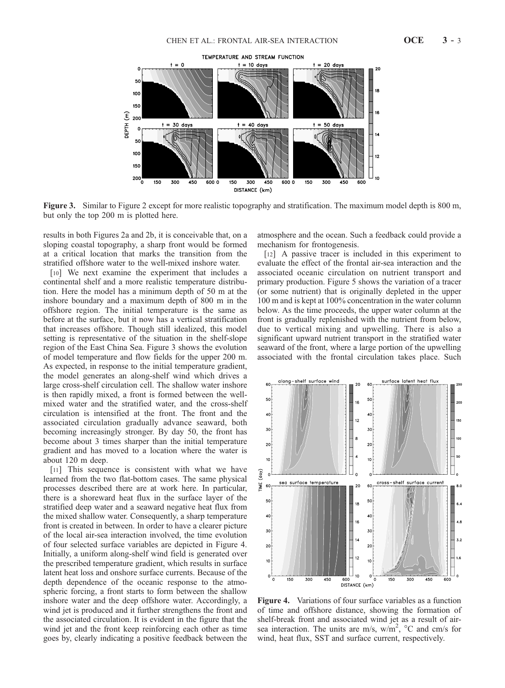



Figure 3. Similar to Figure 2 except for more realistic topography and stratification. The maximum model depth is 800 m, but only the top 200 m is plotted here.

results in both Figures 2a and 2b, it is conceivable that, on a sloping coastal topography, a sharp front would be formed at a critical location that marks the transition from the stratified offshore water to the well-mixed inshore water.

[10] We next examine the experiment that includes a continental shelf and a more realistic temperature distribution. Here the model has a minimum depth of 50 m at the inshore boundary and a maximum depth of 800 m in the offshore region. The initial temperature is the same as before at the surface, but it now has a vertical stratification that increases offshore. Though still idealized, this model setting is representative of the situation in the shelf-slope region of the East China Sea. Figure 3 shows the evolution of model temperature and flow fields for the upper 200 m. As expected, in response to the initial temperature gradient, the model generates an along-shelf wind which drives a large cross-shelf circulation cell. The shallow water inshore is then rapidly mixed, a front is formed between the wellmixed water and the stratified water, and the cross-shelf circulation is intensified at the front. The front and the associated circulation gradually advance seaward, both becoming increasingly stronger. By day 50, the front has become about 3 times sharper than the initial temperature gradient and has moved to a location where the water is about 120 m deep.

[11] This sequence is consistent with what we have learned from the two flat-bottom cases. The same physical processes described there are at work here. In particular, there is a shoreward heat flux in the surface layer of the stratified deep water and a seaward negative heat flux from the mixed shallow water. Consequently, a sharp temperature front is created in between. In order to have a clearer picture of the local air-sea interaction involved, the time evolution of four selected surface variables are depicted in Figure 4. Initially, a uniform along-shelf wind field is generated over the prescribed temperature gradient, which results in surface latent heat loss and onshore surface currents. Because of the depth dependence of the oceanic response to the atmospheric forcing, a front starts to form between the shallow inshore water and the deep offshore water. Accordingly, a wind jet is produced and it further strengthens the front and the associated circulation. It is evident in the figure that the wind jet and the front keep reinforcing each other as time goes by, clearly indicating a positive feedback between the atmosphere and the ocean. Such a feedback could provide a mechanism for frontogenesis.

[12] A passive tracer is included in this experiment to evaluate the effect of the frontal air-sea interaction and the associated oceanic circulation on nutrient transport and primary production. Figure 5 shows the variation of a tracer (or some nutrient) that is originally depleted in the upper 100 m and is kept at 100% concentration in the water column below. As the time proceeds, the upper water column at the front is gradually replenished with the nutrient from below, due to vertical mixing and upwelling. There is also a significant upward nutrient transport in the stratified water seaward of the front, where a large portion of the upwelling associated with the frontal circulation takes place. Such



Figure 4. Variations of four surface variables as a function of time and offshore distance, showing the formation of shelf-break front and associated wind jet as a result of airsea interaction. The units are m/s,  $w/m^2$ , °C and cm/s for wind, heat flux, SST and surface current, respectively.